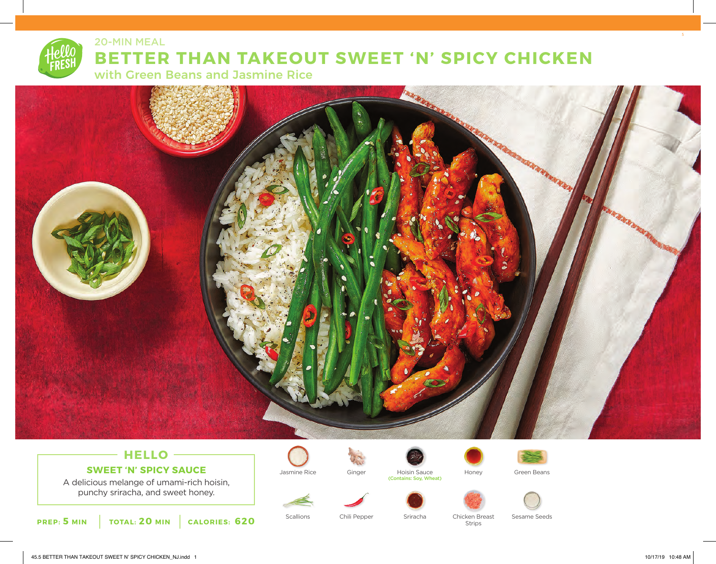

20-MIN MEAL

# **BETTER THAN TAKEOUT SWEET 'N' SPICY CHICKEN**

with Green Beans and Jasmine Rice



## **HELLO SWEET 'N' SPICY SAUCE**

A delicious melange of umami-rich hoisin, punchy sriracha, and sweet honey.











Jasmine Rice **Ginger** Hoisin Sauce Honey Green Beans





(Contains: Soy, Wheat)



Scallions Chili Pepper Sriracha Chicken Breast Sesame Seeds Strips

5